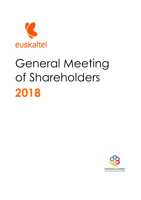

# General Meeting of Shareholders **2018**

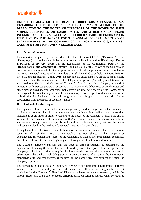

# **REPORT FORMULATED BY THE BOARD OF DIRECTORS OF EUSKALTEL, S.A. REGARDING THE PROPOSED INCREASE IN THE MAXIMUM LIMIT OF THE DELEGATION TO THE BOARD OF DIRECTORS OF THE POWER TO ISSUE SIMPLE DEBENTURES OR BONDS, NOTES AND OTHER SIMILAR FIXED INCOME SECURITIES, AS WELL AS PREFERRED SHARES, REFERRED TO IN ITEM FIVE ON THE AGENDA FOR THE ANNUAL GENERAL MEETING OF SHAREHOLDERS OF THE COMPANY CALLED FOR 1 JUNE 2018, ON FIRST CALL, AND FOR 2 JUNE 2018 ON SECOND CALL**

#### **I. Object of the report**

This report is prepared by the Board of Directors of Euskaltel, S.A. ("**Euskaltel**" or the "**Company**") in compliance with the requirements established in section 319 of Royal Decree 1784/1996, of 19 July, approving the Regulations of the Commercial Registry (the "**Regulations of the Commercial Registry**") and article 16 of the Bylaws of the Company in order to provide a rationale for the proposal submitted for the approval of the shareholders at the Annual General Meeting of Shareholders of Euskaltel called to be held on 1 June 2018 on first call, and the next day, 2 June 2018, on second call, under item five on the agenda relating to the increase in the maximum limit of the delegation of powers granted by resolution of the shareholders at the General Meeting of 27 June 2016 in favour of the Company's Board of Directors, with express powers of substitution, to issue simple debentures or bonds, notes and other similar fixed income securities, not convertible into new shares of the Company or exchangeable for outstanding shares of the Company, as well as preferred shares; and to the authorisation for Euskaltel to be able to guarantee all obligations that may arise for its subsidiaries from the issues of securities thereby.

#### **II. Rationale for the proposal**

The dynamic of all commercial companies generally, and of large and listed companies particularly, require that their governance and administration bodies have appropriate instruments at all times in order to respond to the needs of the Company in each case and in view of the circumstances of the market. With good reason, there are occasions in which the success of a strategic initiative depends on the ability to achieve it rapidly, without the delays and costs involved in the holding of a General Meeting of Shareholders.

Along these lines, the issue of simple bonds or debentures, notes and other fixed income securities of a similar nature, not convertible into new shares of the Company or exchangeable for outstanding shares of the Company, as well as preferred shares, constitutes one of the instruments for financing companies through the attraction of external funds.

The Board of Directors believes that the issue of these instruments is justified by the expedience of having those mechanisms allowed by current corporate law that permit the Company to be in a position to acquire the funds needed to meet the corporate interest. In other words, the goal of such delegation is to give the Board of Directors the instruments, manoeuvrability and responsiveness required by the competitive environment in which the Company operates.

The foregoing is also especially important in view of the economic environment of recent years, in which the volatility of the markets and difficulties in accessing credit make it advisable for the Company's Board of Directors to have the means necessary, and in the amount necessary, to be able to access different available funding sources when so required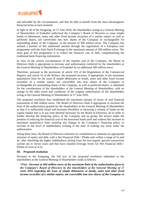

and advisable by the circumstances, and thus be able to benefit from the most advantageous financial terms at each moment.

In light of all of the foregoing, on 27 June 2016, the shareholders acting at a General Meeting of Shareholders of Euskaltel authorised the Company's Board of Directors to issue simple bonds or debentures, notes and other fixed income securities of a similar nature, as well as preferred shares, not convertible into new shares of the Company or exchangeable for outstanding shares of the Company, in the amount of 300 million euros. The Company has utilised a portion of this authorised amount through the registration of a European note programme with the Irish Stock Exchange in the maximum amount of 200 million euros. The main goal of this programme is to reduce the financial cost of debt, complementing the traditional bank financing instruments.

In view of the current circumstances of the markets and of the Company, the Board of Directors finds it appropriate to increase said authorisation conferred by the shareholders at the General Meeting of Shareholders of Euskaltel by an additional 300 million euros.

Therefore, pursuant to the provisions of article 319 of the Regulations of the Commercial Registry and article 16 of the Bylaws, the proposed increase, if appropriate, in the maximum quantitative limit for the issue of simple debentures or bonds, notes and other fixed income securities of a similar nature, not convertible into new shares of the Company or exchangeable for outstanding shares of the Company, as well as preferred shares, is submitted for the consideration of the shareholders at the General Meeting of Shareholders, with no change in the other terms and conditions of the original authorisation of the shareholders acting at the General Meeting of Shareholders of 27 June 2016.

The proposed resolution thus established the maximum amount of issues of said financial instruments at 600 million euros. The Board of Directors finds it appropriate to increase the limit of the authorisation granted by the shareholders at the General Meeting of Shareholders so that it is sufficiently broad and increases flexibility in attracting a volume of funds on the capital market that is at any time deemed necessary by the Board of Directors, all in order to further develop the financing policy of the Company and its group, but always under the premise of reducing the financial cost of the borrowed funds used and without this increase in maximum quantitative limit entailing any change in the Company's financing policy or increase in the level of indebtedness existing at the time of making any issue under the authorisation.

Along these lines, the Board of Directors reiterates its commitment to maintain an appropriate structure of equity and debt, with a Net Financial Debt / Ebitda ratio within a range of 3x and 4x, after absorbing the higher indebtedness arising from the non-organic growth transactions carried out in recent years and that have entailed leverage levels for Net Financial Debt / Ebitda of close to 4.5x.

#### **III. Proposed resolution**

Pursuant to the foregoing, the full text of the proposed resolution submitted to the shareholders at the General Meeting of Shareholders reads as follows:

**"***Five.- Increase to 600 million euros of the maximum limit of the authorisation given to the Company's Board of Directors by the shareholders at the General Meeting of 27 June 2016 regarding the issue of simple debentures or bonds, notes and other fixed income securities of a similar nature, not convertible into new shares of the Company or*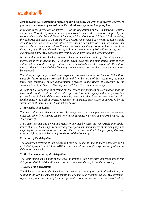

# *exchangeable for outstanding shares of the Company, as well as preferred shares, to guarantee new issues of securities by the subsidiaries up to the foregoing limit*

*Pursuant to the provisions of article 319 of the Regulations of the Commercial Registry and article 16 of the Bylaws, it is hereby resolved to amend the resolution adopted by the shareholders at the Annual General Meeting of Shareholders on 27 June 2016 regarding the authorisation given to the Board of Directors, for a period of 4 years, to issue simple debentures or bonds, notes and other fixed income securities of a similar nature, not convertible into new shares of the Company or exchangeable for outstanding shares of the Company, as well as preferred shares, with a maximum limit of 300 million euros, and to guarantee the new issues of securities by the subsidiaries up to the foregoing limit.*

*In particular, it is resolved to increase the prior maximum limit of 300 million euros, increasing it by an additional 300 million euros, such that the quantitative limit of such authorisation hereafter and for future issues is established at the amount of 600 million euros, although the level of the Company's indebtedness prior to the issue may in no event be exceeded.* 

*Therefore, except as provided with respect to the new quantitative limit of 600 million euros for future issues as provided above and fixed by virtue of this resolution, the other terms and conditions of the authorisation provided to the Board of Directors by the shareholders at the General Meeting dated 27 June 2016 remain unchanged.*

*In light of the foregoing, it is stated for the record for purposes of clarification that the terms and conditions of the authorisation provided to the Company's Board of Directors for the issue of simple debentures or bonds, notes and other fixed income securities of a similar nature, as well as preferred shares, to guarantee new issues of securities by the subsidiaries of Euskaltel, are those set out below:*

#### *1. Securities to be issued*

*The negotiable securities covered by this delegation may be simple bonds or debentures, notes and other fixed income securities of a similar nature, as well as preferred shares (the "Securities").*

*The Securities that this delegation refers to may not be securities convertible into newlyissued shares of the Company or exchangeable for outstanding shares of the Company, nor may they be in the nature of warrants or other securities similar to the foregoing that may give the right to subscribe or acquire shares of the Company.*

#### *2. Period of the delegation*

*The Securities covered by the delegation may be issued on one or more occasions for a period of 5 years from 27 June 2016, i.e. the date of the resolution by means of which the delegation was made.*

#### *3. Maximum amount of the delegation*

*The total maximum amount of the issue or issues of the Securities approved under this delegation shall be 600 million euros or the equivalent thereof in another currency.* 

#### *4. Scope of the delegation*

*The delegation to issue the Securities shall cover, as broadly as required under Law, the setting of the various aspects and conditions of each issue (nominal value, issue premium, repurchase price, currency of the issue, form of representation, interest rate, amortisation,*